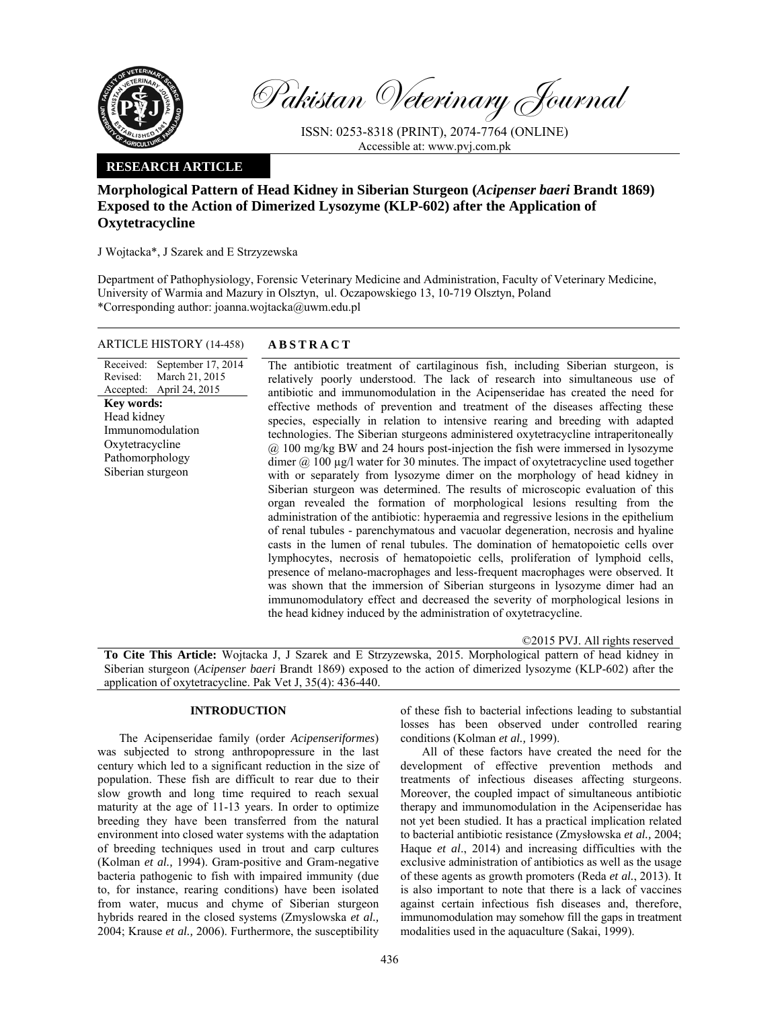

Pakistan Veterinary Journal

ISSN: 0253-8318 (PRINT), 2074-7764 (ONLINE) Accessible at: www.pvj.com.pk

### **RESEARCH ARTICLE**

# **Morphological Pattern of Head Kidney in Siberian Sturgeon (***Acipenser baeri* **Brandt 1869) Exposed to the Action of Dimerized Lysozyme (KLP-602) after the Application of Oxytetracycline**

J Wojtacka\*, J Szarek and E Strzyzewska

Department of Pathophysiology, Forensic Veterinary Medicine and Administration, Faculty of Veterinary Medicine, University of Warmia and Mazury in Olsztyn, ul. Oczapowskiego 13, 10-719 Olsztyn, Poland \*Corresponding author: joanna.wojtacka@uwm.edu.pl

## ARTICLE HISTORY (14-458) **ABSTRACT**

Received: Revised: Accepted: September 17, 2014 March 21, 2015 April 24, 2015 **Key words:**  Head kidney Immunomodulation Oxytetracycline Pathomorphology Siberian sturgeon

 The antibiotic treatment of cartilaginous fish, including Siberian sturgeon, is relatively poorly understood. The lack of research into simultaneous use of antibiotic and immunomodulation in the Acipenseridae has created the need for effective methods of prevention and treatment of the diseases affecting these species, especially in relation to intensive rearing and breeding with adapted technologies. The Siberian sturgeons administered oxytetracycline intraperitoneally @ 100 mg/kg BW and 24 hours post-injection the fish were immersed in lysozyme dimer @ 100 µg/l water for 30 minutes. The impact of oxytetracycline used together with or separately from lysozyme dimer on the morphology of head kidney in Siberian sturgeon was determined. The results of microscopic evaluation of this organ revealed the formation of morphological lesions resulting from the administration of the antibiotic: hyperaemia and regressive lesions in the epithelium of renal tubules - parenchymatous and vacuolar degeneration, necrosis and hyaline casts in the lumen of renal tubules. The domination of hematopoietic cells over lymphocytes, necrosis of hematopoietic cells, proliferation of lymphoid cells, presence of melano-macrophages and less-frequent macrophages were observed. It was shown that the immersion of Siberian sturgeons in lysozyme dimer had an immunomodulatory effect and decreased the severity of morphological lesions in the head kidney induced by the administration of oxytetracycline.

©2015 PVJ. All rights reserved

**To Cite This Article:** Wojtacka J, J Szarek and E Strzyzewska, 2015. Morphological pattern of head kidney in Siberian sturgeon (*Acipenser baeri* Brandt 1869) exposed to the action of dimerized lysozyme (KLP-602) after the application of oxytetracycline. Pak Vet J, 35(4): 436-440.

### **INTRODUCTION**

The Acipenseridae family (order *Acipenseriformes*) was subjected to strong anthropopressure in the last century which led to a significant reduction in the size of population. These fish are difficult to rear due to their slow growth and long time required to reach sexual maturity at the age of 11-13 years. In order to optimize breeding they have been transferred from the natural environment into closed water systems with the adaptation of breeding techniques used in trout and carp cultures (Kolman *et al.,* 1994). Gram-positive and Gram-negative bacteria pathogenic to fish with impaired immunity (due to, for instance, rearing conditions) have been isolated from water, mucus and chyme of Siberian sturgeon hybrids reared in the closed systems (Zmyslowska *et al.,* 2004; Krause *et al.,* 2006). Furthermore, the susceptibility

of these fish to bacterial infections leading to substantial losses has been observed under controlled rearing conditions (Kolman *et al.,* 1999).

All of these factors have created the need for the development of effective prevention methods and treatments of infectious diseases affecting sturgeons. Moreover, the coupled impact of simultaneous antibiotic therapy and immunomodulation in the Acipenseridae has not yet been studied. It has a practical implication related to bacterial antibiotic resistance (Zmysłowska *et al.,* 2004; Haque *et al*., 2014) and increasing difficulties with the exclusive administration of antibiotics as well as the usage of these agents as growth promoters (Reda *et al.*, 2013). It is also important to note that there is a lack of vaccines against certain infectious fish diseases and, therefore, immunomodulation may somehow fill the gaps in treatment modalities used in the aquaculture (Sakai, 1999).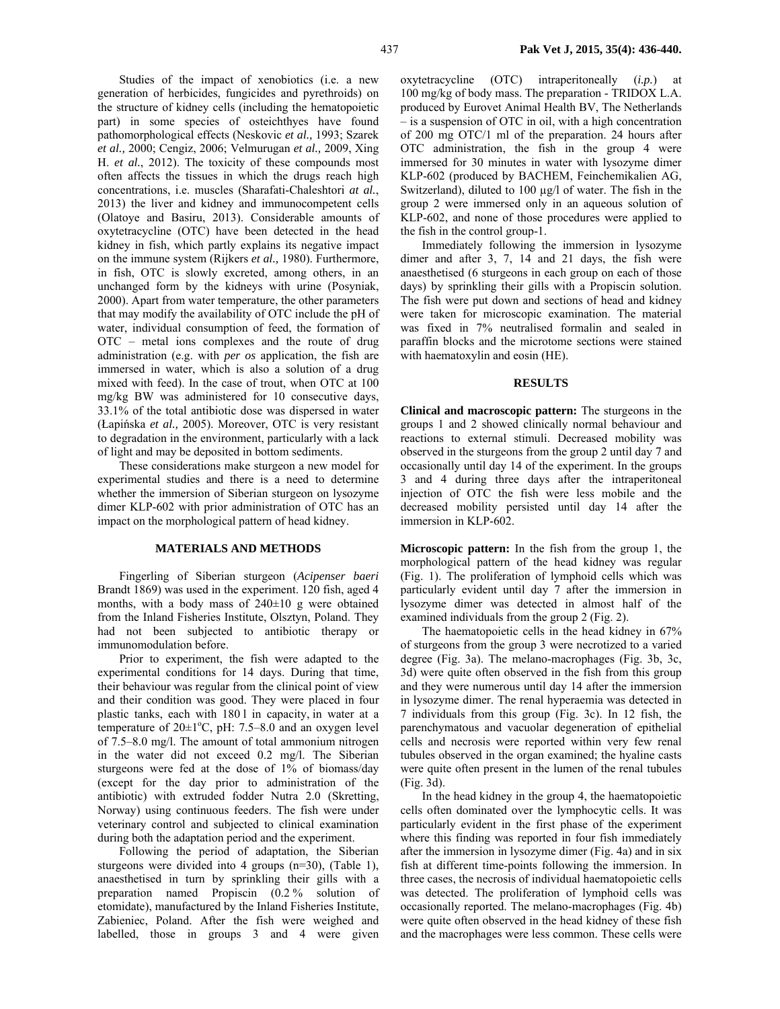Studies of the impact of xenobiotics (i.e. a new generation of herbicides, fungicides and pyrethroids) on the structure of kidney cells (including the hematopoietic part) in some species of osteichthyes have found pathomorphological effects (Neskovic *et al.,* 1993; Szarek *et al.,* 2000; Cengiz, 2006; Velmurugan *et al.,* 2009, Xing H. *et al.*, 2012). The toxicity of these compounds most often affects the tissues in which the drugs reach high concentrations, i.e. muscles (Sharafati-Chaleshtori *at al.*, 2013) the liver and kidney and immunocompetent cells (Olatoye and Basiru, 2013). Considerable amounts of oxytetracycline (OTC) have been detected in the head kidney in fish, which partly explains its negative impact on the immune system (Rijkers *et al.,* 1980). Furthermore, in fish, OTC is slowly excreted, among others, in an unchanged form by the kidneys with urine (Posyniak, 2000). Apart from water temperature, the other parameters that may modify the availability of OTC include the pH of water, individual consumption of feed, the formation of OTC – metal ions complexes and the route of drug administration (e.g. with *per os* application, the fish are immersed in water, which is also a solution of a drug mixed with feed). In the case of trout, when OTC at 100 mg/kg BW was administered for 10 consecutive days, 33.1% of the total antibiotic dose was dispersed in water (Łapińska *et al.,* 2005). Moreover, OTC is very resistant to degradation in the environment, particularly with a lack of light and may be deposited in bottom sediments.

These considerations make sturgeon a new model for experimental studies and there is a need to determine whether the immersion of Siberian sturgeon on lysozyme dimer KLP-602 with prior administration of OTC has an impact on the morphological pattern of head kidney.

#### **MATERIALS AND METHODS**

Fingerling of Siberian sturgeon (*Acipenser baeri*  Brandt 1869) was used in the experiment. 120 fish, aged 4 months, with a body mass of 240±10 g were obtained from the Inland Fisheries Institute, Olsztyn, Poland. They had not been subjected to antibiotic therapy or immunomodulation before.

Prior to experiment, the fish were adapted to the experimental conditions for 14 days. During that time, their behaviour was regular from the clinical point of view and their condition was good. They were placed in four plastic tanks, each with 180 l in capacity, in water at a temperature of  $20 \pm 1$ <sup>o</sup>C, pH: 7.5–8.0 and an oxygen level of 7.5–8.0 mg/l. The amount of total ammonium nitrogen in the water did not exceed 0.2 mg/l. The Siberian sturgeons were fed at the dose of 1% of biomass/day (except for the day prior to administration of the antibiotic) with extruded fodder Nutra 2.0 (Skretting, Norway) using continuous feeders. The fish were under veterinary control and subjected to clinical examination during both the adaptation period and the experiment.

Following the period of adaptation, the Siberian sturgeons were divided into 4 groups (n=30), (Table 1), anaesthetised in turn by sprinkling their gills with a preparation named Propiscin (0.2 % solution of etomidate), manufactured by the Inland Fisheries Institute, Zabieniec, Poland. After the fish were weighed and labelled, those in groups 3 and 4 were given

oxytetracycline (OTC) intraperitoneally (*i.p.*) at 100 mg/kg of body mass. The preparation - TRIDOX L.A. produced by Eurovet Animal Health BV, The Netherlands – is a suspension of OTC in oil, with a high concentration of 200 mg OTC/1 ml of the preparation. 24 hours after OTC administration, the fish in the group 4 were immersed for 30 minutes in water with lysozyme dimer KLP-602 (produced by BACHEM, Feinchemikalien AG, Switzerland), diluted to 100  $\mu$ g/l of water. The fish in the group 2 were immersed only in an aqueous solution of KLP-602, and none of those procedures were applied to the fish in the control group-1.

Immediately following the immersion in lysozyme dimer and after 3, 7, 14 and 21 days, the fish were anaesthetised (6 sturgeons in each group on each of those days) by sprinkling their gills with a Propiscin solution. The fish were put down and sections of head and kidney were taken for microscopic examination. The material was fixed in 7% neutralised formalin and sealed in paraffin blocks and the microtome sections were stained with haematoxylin and eosin (HE).

#### **RESULTS**

**Clinical and macroscopic pattern:** The sturgeons in the groups 1 and 2 showed clinically normal behaviour and reactions to external stimuli. Decreased mobility was observed in the sturgeons from the group 2 until day 7 and occasionally until day 14 of the experiment. In the groups 3 and 4 during three days after the intraperitoneal injection of OTC the fish were less mobile and the decreased mobility persisted until day 14 after the immersion in KLP-602.

**Microscopic pattern:** In the fish from the group 1, the morphological pattern of the head kidney was regular (Fig. 1). The proliferation of lymphoid cells which was particularly evident until day 7 after the immersion in lysozyme dimer was detected in almost half of the examined individuals from the group 2 (Fig. 2).

The haematopoietic cells in the head kidney in 67% of sturgeons from the group 3 were necrotized to a varied degree (Fig. 3a). The melano-macrophages (Fig. 3b, 3c, 3d) were quite often observed in the fish from this group and they were numerous until day 14 after the immersion in lysozyme dimer. The renal hyperaemia was detected in 7 individuals from this group (Fig. 3c). In 12 fish, the parenchymatous and vacuolar degeneration of epithelial cells and necrosis were reported within very few renal tubules observed in the organ examined; the hyaline casts were quite often present in the lumen of the renal tubules (Fig. 3d).

In the head kidney in the group 4, the haematopoietic cells often dominated over the lymphocytic cells. It was particularly evident in the first phase of the experiment where this finding was reported in four fish immediately after the immersion in lysozyme dimer (Fig. 4a) and in six fish at different time-points following the immersion. In three cases, the necrosis of individual haematopoietic cells was detected. The proliferation of lymphoid cells was occasionally reported. The melano-macrophages (Fig. 4b) were quite often observed in the head kidney of these fish and the macrophages were less common. These cells were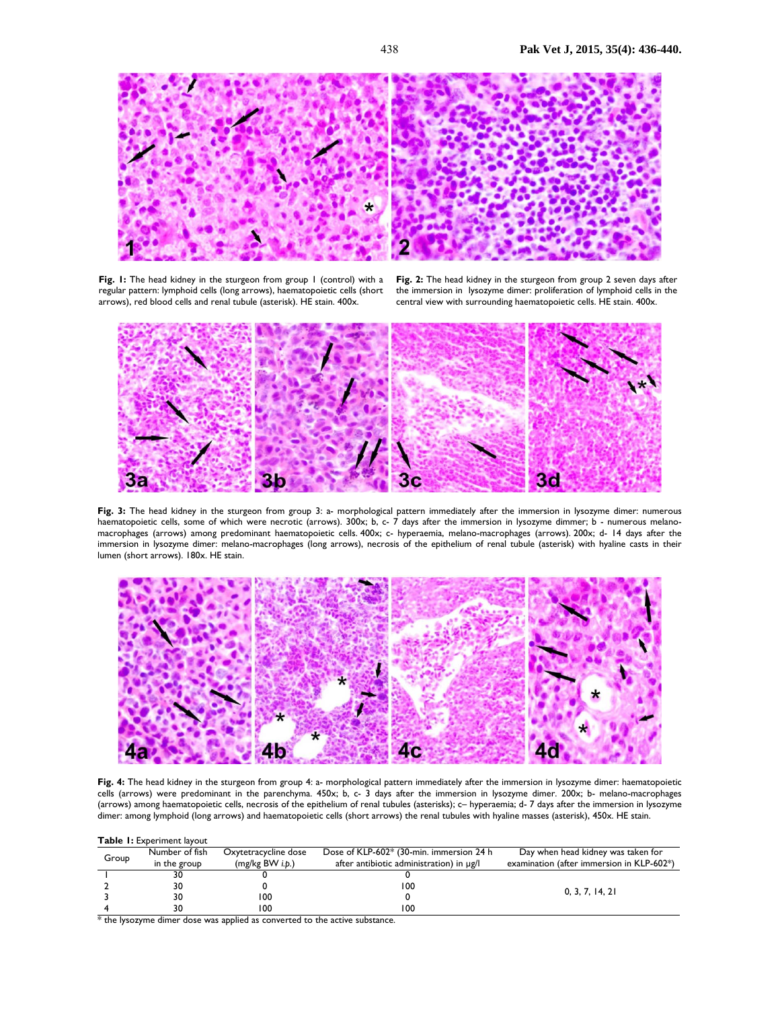

Fig. 1: The head kidney in the sturgeon from group 1 (control) with a regular pattern: lymphoid cells (long arrows), haematopoietic cells (short arrows), red blood cells and renal tubule (asterisk). HE stain. 400x.

**Fig. 2:** The head kidney in the sturgeon from group 2 seven days after the immersion in lysozyme dimer: proliferation of lymphoid cells in the central view with surrounding haematopoietic cells. HE stain. 400x.



Fig. 3: The head kidney in the sturgeon from group 3: a- morphological pattern immediately after the immersion in lysozyme dimer: numerous haematopoietic cells, some of which were necrotic (arrows). 300x; b, c- 7 days after the immersion in lysozyme dimmer; b - numerous melanomacrophages (arrows) among predominant haematopoietic cells. 400x; c- hyperaemia, melano-macrophages (arrows). 200x; d- 14 days after the immersion in lysozyme dimer: melano-macrophages (long arrows), necrosis of the epithelium of renal tubule (asterisk) with hyaline casts in their lumen (short arrows). 180x. HE stain.



**Fig. 4:** The head kidney in the sturgeon from group 4: a- morphological pattern immediately after the immersion in lysozyme dimer: haematopoietic cells (arrows) were predominant in the parenchyma. 450x; b, c- 3 days after the immersion in lysozyme dimer. 200x; b- melano-macrophages (arrows) among haematopoietic cells, necrosis of the epithelium of renal tubules (asterisks); c– hyperaemia; d- 7 days after the immersion in lysozyme dimer: among lymphoid (long arrows) and haematopoietic cells (short arrows) the renal tubules with hyaline masses (asterisk), 450x. HE stain.

| <b>Table 1. EXPERTIOL 1890UL</b> |                |                      |                                               |                                           |
|----------------------------------|----------------|----------------------|-----------------------------------------------|-------------------------------------------|
| Group                            | Number of fish | Oxytetracycline dose | Dose of KLP-602* (30-min. immersion 24 h      | Day when head kidney was taken for        |
|                                  | in the group   | (mg/kg BW i.b.)      | after antibiotic administration) in $\mu$ g/l | examination (after immersion in KLP-602*) |
|                                  | 30             |                      |                                               | 0, 3, 7, 14, 21                           |
|                                  | 30             |                      | 100                                           |                                           |
|                                  | 30             | 100                  |                                               |                                           |
|                                  | 30             | 100                  | 100                                           |                                           |

\* the lysozyme dimer dose was applied as converted to the active substance.

**Table 1:** Experiment layout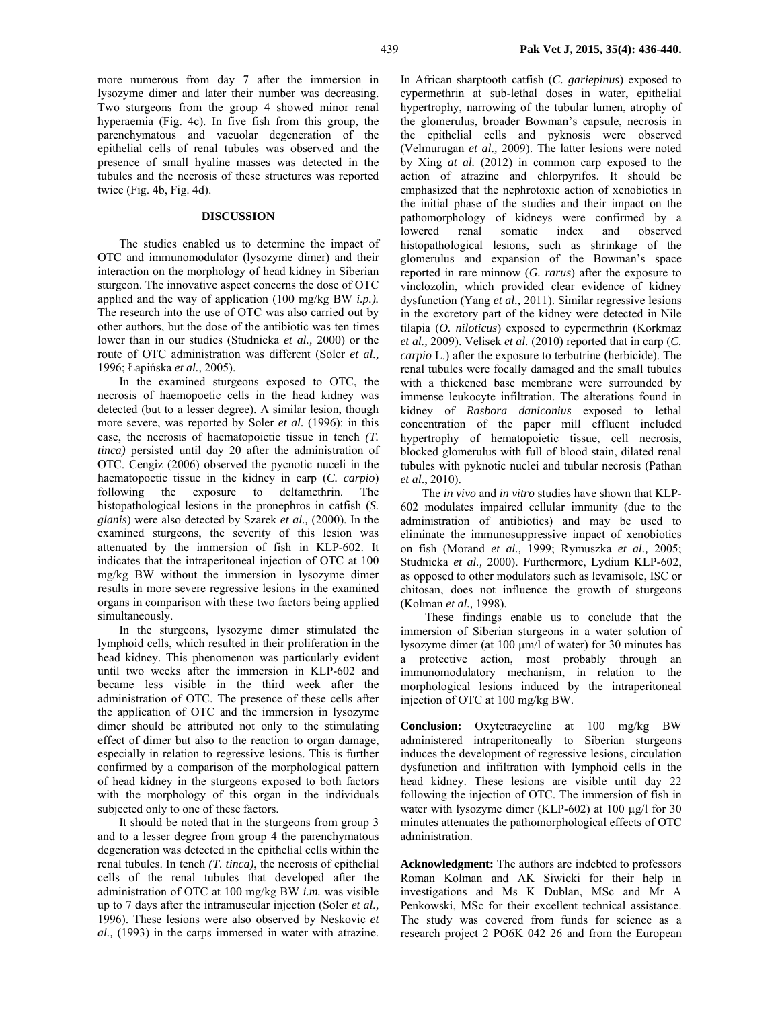more numerous from day 7 after the immersion in lysozyme dimer and later their number was decreasing. Two sturgeons from the group 4 showed minor renal hyperaemia (Fig. 4c). In five fish from this group, the parenchymatous and vacuolar degeneration of the epithelial cells of renal tubules was observed and the presence of small hyaline masses was detected in the tubules and the necrosis of these structures was reported twice (Fig. 4b, Fig. 4d).

### **DISCUSSION**

The studies enabled us to determine the impact of OTC and immunomodulator (lysozyme dimer) and their interaction on the morphology of head kidney in Siberian sturgeon. The innovative aspect concerns the dose of OTC applied and the way of application (100 mg/kg BW *i.p.).* The research into the use of OTC was also carried out by other authors, but the dose of the antibiotic was ten times lower than in our studies (Studnicka *et al.,* 2000) or the route of OTC administration was different (Soler *et al.,* 1996; Łapińska *et al.,* 2005).

In the examined sturgeons exposed to OTC, the necrosis of haemopoetic cells in the head kidney was detected (but to a lesser degree). A similar lesion, though more severe, was reported by Soler *et al.* (1996): in this case, the necrosis of haematopoietic tissue in tench *(T. tinca)* persisted until day 20 after the administration of OTC. Cengiz (2006) observed the pycnotic nuceli in the haematopoetic tissue in the kidney in carp (*C. carpio*) following the exposure to deltamethrin. The histopathological lesions in the pronephros in catfish (*S. glanis*) were also detected by Szarek *et al.,* (2000). In the examined sturgeons, the severity of this lesion was attenuated by the immersion of fish in KLP-602. It indicates that the intraperitoneal injection of OTC at 100 mg/kg BW without the immersion in lysozyme dimer results in more severe regressive lesions in the examined organs in comparison with these two factors being applied simultaneously.

In the sturgeons, lysozyme dimer stimulated the lymphoid cells, which resulted in their proliferation in the head kidney. This phenomenon was particularly evident until two weeks after the immersion in KLP-602 and became less visible in the third week after the administration of OTC. The presence of these cells after the application of OTC and the immersion in lysozyme dimer should be attributed not only to the stimulating effect of dimer but also to the reaction to organ damage, especially in relation to regressive lesions. This is further confirmed by a comparison of the morphological pattern of head kidney in the sturgeons exposed to both factors with the morphology of this organ in the individuals subjected only to one of these factors.

It should be noted that in the sturgeons from group 3 and to a lesser degree from group 4 the parenchymatous degeneration was detected in the epithelial cells within the renal tubules. In tench *(T. tinca)*, the necrosis of epithelial cells of the renal tubules that developed after the administration of OTC at 100 mg/kg BW *i.m.* was visible up to 7 days after the intramuscular injection (Soler *et al.,* 1996). These lesions were also observed by Neskovic *et al.,* (1993) in the carps immersed in water with atrazine.

In African sharptooth catfish (*C. gariepinus*) exposed to cypermethrin at sub-lethal doses in water, epithelial hypertrophy, narrowing of the tubular lumen, atrophy of the glomerulus, broader Bowman's capsule, necrosis in the epithelial cells and pyknosis were observed (Velmurugan *et al.,* 2009). The latter lesions were noted by Xing *at al.* (2012) in common carp exposed to the action of atrazine and chlorpyrifos. It should be emphasized that the nephrotoxic action of xenobiotics in the initial phase of the studies and their impact on the pathomorphology of kidneys were confirmed by a lowered renal somatic index and observed histopathological lesions, such as shrinkage of the glomerulus and expansion of the Bowman's space reported in rare minnow (*G. rarus*) after the exposure to vinclozolin, which provided clear evidence of kidney dysfunction (Yang *et al.,* 2011). Similar regressive lesions in the excretory part of the kidney were detected in Nile tilapia (*O. niloticus*) exposed to cypermethrin (Korkmaz *et al.,* 2009). Velisek *et al.* (2010) reported that in carp (*C. carpio* L.) after the exposure to terbutrine (herbicide). The renal tubules were focally damaged and the small tubules with a thickened base membrane were surrounded by immense leukocyte infiltration. The alterations found in kidney of *Rasbora daniconius* exposed to lethal concentration of the paper mill effluent included hypertrophy of hematopoietic tissue, cell necrosis, blocked glomerulus with full of blood stain, dilated renal tubules with pyknotic nuclei and tubular necrosis (Pathan *et al*., 2010).

The *in vivo* and *in vitro* studies have shown that KLP-602 modulates impaired cellular immunity (due to the administration of antibiotics) and may be used to eliminate the immunosuppressive impact of xenobiotics on fish (Morand *et al.,* 1999; Rymuszka *et al.,* 2005; Studnicka *et al.,* 2000). Furthermore, Lydium KLP-602, as opposed to other modulators such as levamisole, ISC or chitosan, does not influence the growth of sturgeons (Kolman *et al.,* 1998).

 These findings enable us to conclude that the immersion of Siberian sturgeons in a water solution of lysozyme dimer (at 100 µm/l of water) for 30 minutes has a protective action, most probably through an immunomodulatory mechanism, in relation to the morphological lesions induced by the intraperitoneal injection of OTC at 100 mg/kg BW.

**Conclusion:** Oxytetracycline at 100 mg/kg BW administered intraperitoneally to Siberian sturgeons induces the development of regressive lesions, circulation dysfunction and infiltration with lymphoid cells in the head kidney. These lesions are visible until day 22 following the injection of OTC. The immersion of fish in water with lysozyme dimer (KLP-602) at 100  $\mu$ g/l for 30 minutes attenuates the pathomorphological effects of OTC administration.

**Acknowledgment:** The authors are indebted to professors Roman Kolman and AK Siwicki for their help in investigations and Ms K Dublan, MSc and Mr A Penkowski, MSc for their excellent technical assistance. The study was covered from funds for science as a research project 2 PO6K 042 26 and from the European